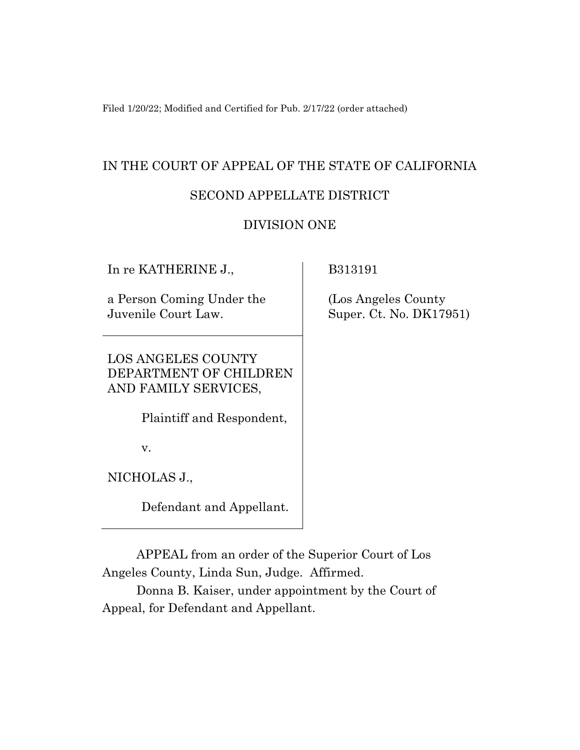Filed 1/20/22; Modified and Certified for Pub. 2/17/22 (order attached)

# IN THE COURT OF APPEAL OF THE STATE OF CALIFORNIA

# SECOND APPELLATE DISTRICT

## DIVISION ONE

In re KATHERINE J.,

#### B313191

a Person Coming Under the Juvenile Court Law.

LOS ANGELES COUNTY DEPARTMENT OF CHILDREN AND FAMILY SERVICES,

Plaintiff and Respondent,

v.

NICHOLAS J.,

Defendant and Appellant.

APPEAL from an order of the Superior Court of Los Angeles County, Linda Sun, Judge. Affirmed.

Donna B. Kaiser, under appointment by the Court of Appeal, for Defendant and Appellant.

 (Los Angeles County Super. Ct. No. DK17951)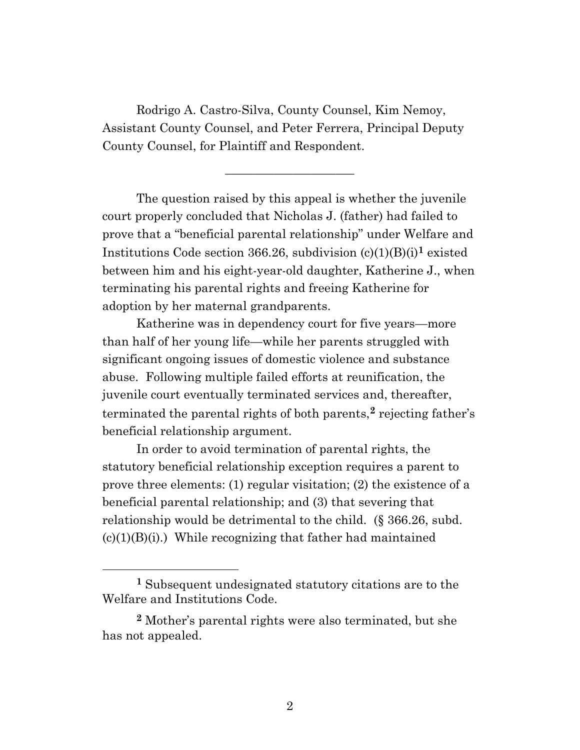Rodrigo A. Castro-Silva, County Counsel, Kim Nemoy, Assistant County Counsel, and Peter Ferrera, Principal Deputy County Counsel, for Plaintiff and Respondent.

\_\_\_\_\_\_\_\_\_\_\_\_\_\_\_\_\_\_\_\_\_

The question raised by this appeal is whether the juvenile court properly concluded that Nicholas J. (father) had failed to prove that a "beneficial parental relationship" under Welfare and Institutions Code section 366.26, subdivision (c)(1)(B)(i)**<sup>1</sup>** existed between him and his eight-year-old daughter, Katherine J., when terminating his parental rights and freeing Katherine for adoption by her maternal grandparents.

Katherine was in dependency court for five years—more than half of her young life—while her parents struggled with significant ongoing issues of domestic violence and substance abuse. Following multiple failed efforts at reunification, the juvenile court eventually terminated services and, thereafter, terminated the parental rights of both parents,**<sup>2</sup>** rejecting father's beneficial relationship argument.

In order to avoid termination of parental rights, the statutory beneficial relationship exception requires a parent to prove three elements: (1) regular visitation; (2) the existence of a beneficial parental relationship; and (3) that severing that relationship would be detrimental to the child. (§ 366.26, subd.  $(c)(1)(B)(i)$ .) While recognizing that father had maintained

**<sup>1</sup>** Subsequent undesignated statutory citations are to the Welfare and Institutions Code.

**<sup>2</sup>** Mother's parental rights were also terminated, but she has not appealed.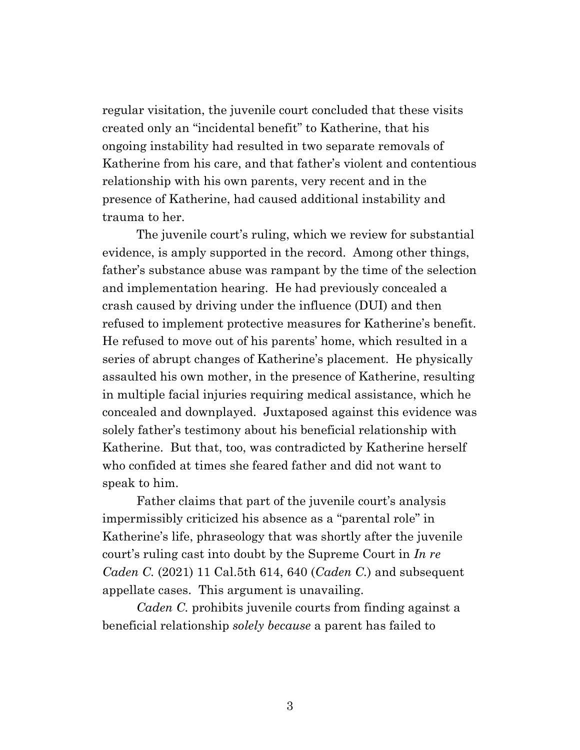regular visitation, the juvenile court concluded that these visits created only an "incidental benefit" to Katherine, that his ongoing instability had resulted in two separate removals of Katherine from his care, and that father's violent and contentious relationship with his own parents, very recent and in the presence of Katherine, had caused additional instability and trauma to her.

The juvenile court's ruling, which we review for substantial evidence, is amply supported in the record. Among other things, father's substance abuse was rampant by the time of the selection and implementation hearing. He had previously concealed a crash caused by driving under the influence (DUI) and then refused to implement protective measures for Katherine's benefit. He refused to move out of his parents' home, which resulted in a series of abrupt changes of Katherine's placement. He physically assaulted his own mother, in the presence of Katherine, resulting in multiple facial injuries requiring medical assistance, which he concealed and downplayed. Juxtaposed against this evidence was solely father's testimony about his beneficial relationship with Katherine. But that, too, was contradicted by Katherine herself who confided at times she feared father and did not want to speak to him.

Father claims that part of the juvenile court's analysis impermissibly criticized his absence as a "parental role" in Katherine's life, phraseology that was shortly after the juvenile court's ruling cast into doubt by the Supreme Court in *In re Caden C.* (2021) 11 Cal.5th 614, 640 (*Caden C.*) and subsequent appellate cases. This argument is unavailing.

*Caden C.* prohibits juvenile courts from finding against a beneficial relationship *solely because* a parent has failed to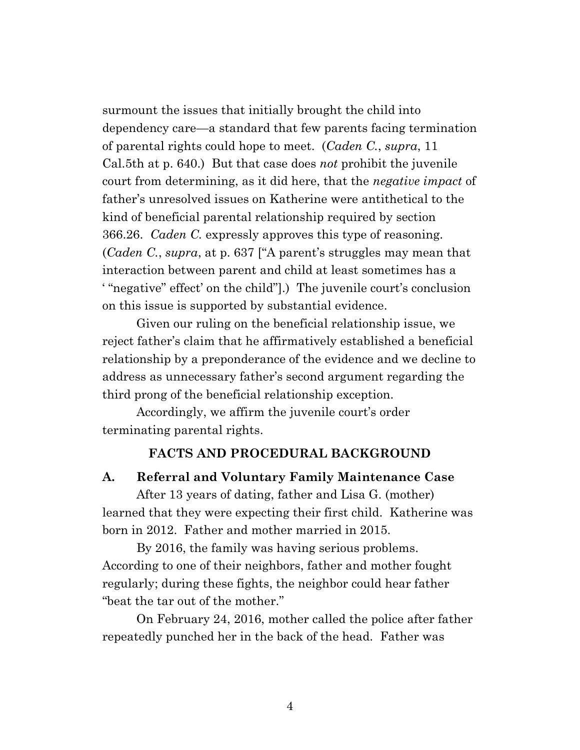surmount the issues that initially brought the child into dependency care—a standard that few parents facing termination of parental rights could hope to meet. (*Caden C.*, *supra*, 11 Cal.5th at p. 640.) But that case does *not* prohibit the juvenile court from determining, as it did here, that the *negative impact* of father's unresolved issues on Katherine were antithetical to the kind of beneficial parental relationship required by section 366.26. *Caden C.* expressly approves this type of reasoning. (*Caden C.*, *supra*, at p. 637 ["A parent's struggles may mean that interaction between parent and child at least sometimes has a ' "negative" effect' on the child"].) The juvenile court's conclusion on this issue is supported by substantial evidence.

Given our ruling on the beneficial relationship issue, we reject father's claim that he affirmatively established a beneficial relationship by a preponderance of the evidence and we decline to address as unnecessary father's second argument regarding the third prong of the beneficial relationship exception.

Accordingly, we affirm the juvenile court's order terminating parental rights.

#### **FACTS AND PROCEDURAL BACKGROUND**

#### **A. Referral and Voluntary Family Maintenance Case**

After 13 years of dating, father and Lisa G. (mother) learned that they were expecting their first child. Katherine was born in 2012. Father and mother married in 2015.

By 2016, the family was having serious problems. According to one of their neighbors, father and mother fought regularly; during these fights, the neighbor could hear father "beat the tar out of the mother."

On February 24, 2016, mother called the police after father repeatedly punched her in the back of the head. Father was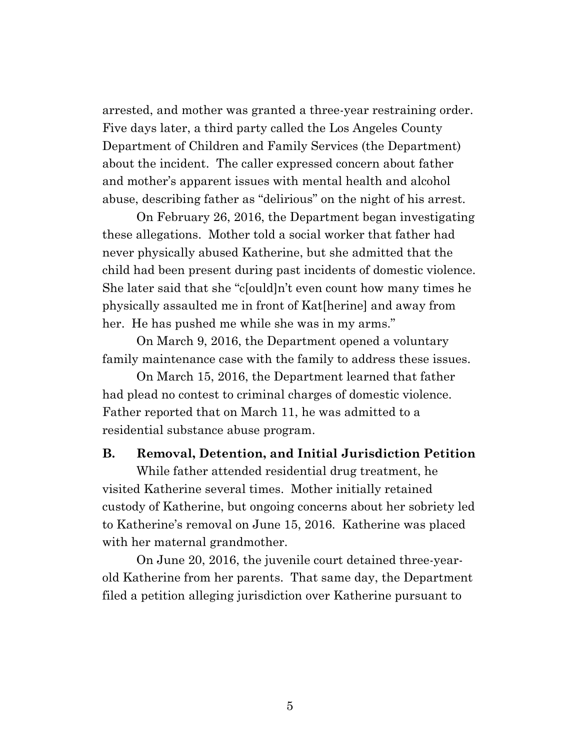arrested, and mother was granted a three-year restraining order. Five days later, a third party called the Los Angeles County Department of Children and Family Services (the Department) about the incident. The caller expressed concern about father and mother's apparent issues with mental health and alcohol abuse, describing father as "delirious" on the night of his arrest.

On February 26, 2016, the Department began investigating these allegations. Mother told a social worker that father had never physically abused Katherine, but she admitted that the child had been present during past incidents of domestic violence. She later said that she "c[ould]n't even count how many times he physically assaulted me in front of Kat[herine] and away from her. He has pushed me while she was in my arms."

On March 9, 2016, the Department opened a voluntary family maintenance case with the family to address these issues.

On March 15, 2016, the Department learned that father had plead no contest to criminal charges of domestic violence. Father reported that on March 11, he was admitted to a residential substance abuse program.

#### **B. Removal, Detention, and Initial Jurisdiction Petition**

While father attended residential drug treatment, he visited Katherine several times. Mother initially retained custody of Katherine, but ongoing concerns about her sobriety led to Katherine's removal on June 15, 2016. Katherine was placed with her maternal grandmother.

On June 20, 2016, the juvenile court detained three-yearold Katherine from her parents. That same day, the Department filed a petition alleging jurisdiction over Katherine pursuant to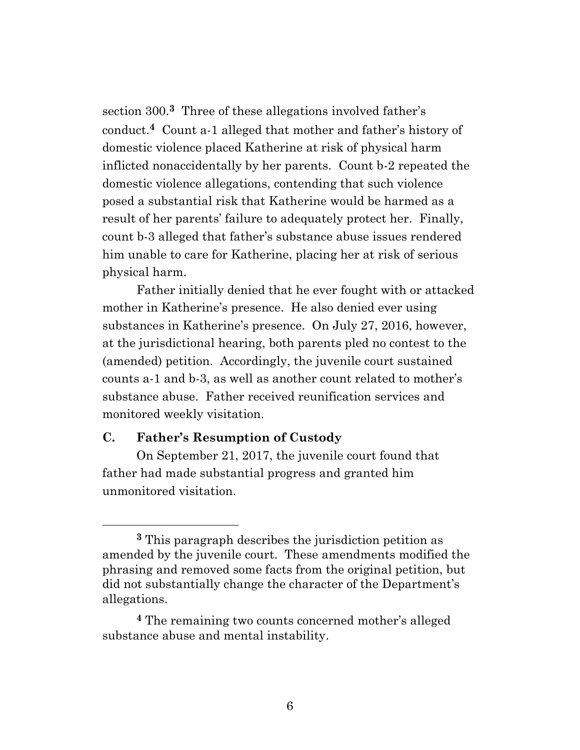section 300.**3** Three of these allegations involved father's conduct.**4** Count a-1 alleged that mother and father's history of domestic violence placed Katherine at risk of physical harm inflicted nonaccidentally by her parents. Count b-2 repeated the domestic violence allegations, contending that such violence posed a substantial risk that Katherine would be harmed as a result of her parents' failure to adequately protect her. Finally, count b-3 alleged that father's substance abuse issues rendered him unable to care for Katherine, placing her at risk of serious physical harm.

Father initially denied that he ever fought with or attacked mother in Katherine's presence. He also denied ever using substances in Katherine's presence. On July 27, 2016, however, at the jurisdictional hearing, both parents pled no contest to the (amended) petition. Accordingly, the juvenile court sustained counts a-1 and b-3, as well as another count related to mother's substance abuse. Father received reunification services and monitored weekly visitation.

#### **C. Father's Resumption of Custody**

On September 21, 2017, the juvenile court found that father had made substantial progress and granted him unmonitored visitation.

**<sup>3</sup>** This paragraph describes the jurisdiction petition as amended by the juvenile court. These amendments modified the phrasing and removed some facts from the original petition, but did not substantially change the character of the Department's allegations.

**<sup>4</sup>** The remaining two counts concerned mother's alleged substance abuse and mental instability.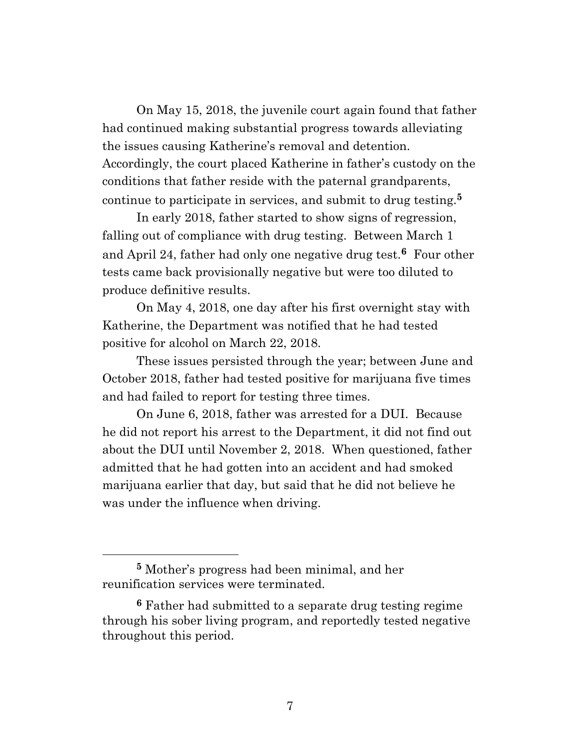On May 15, 2018, the juvenile court again found that father had continued making substantial progress towards alleviating the issues causing Katherine's removal and detention. Accordingly, the court placed Katherine in father's custody on the conditions that father reside with the paternal grandparents, continue to participate in services, and submit to drug testing.**<sup>5</sup>**

In early 2018, father started to show signs of regression, falling out of compliance with drug testing. Between March 1 and April 24, father had only one negative drug test.**6** Four other tests came back provisionally negative but were too diluted to produce definitive results.

On May 4, 2018, one day after his first overnight stay with Katherine, the Department was notified that he had tested positive for alcohol on March 22, 2018.

These issues persisted through the year; between June and October 2018, father had tested positive for marijuana five times and had failed to report for testing three times.

On June 6, 2018, father was arrested for a DUI. Because he did not report his arrest to the Department, it did not find out about the DUI until November 2, 2018. When questioned, father admitted that he had gotten into an accident and had smoked marijuana earlier that day, but said that he did not believe he was under the influence when driving.

**<sup>5</sup>** Mother's progress had been minimal, and her reunification services were terminated.

**<sup>6</sup>** Father had submitted to a separate drug testing regime through his sober living program, and reportedly tested negative throughout this period.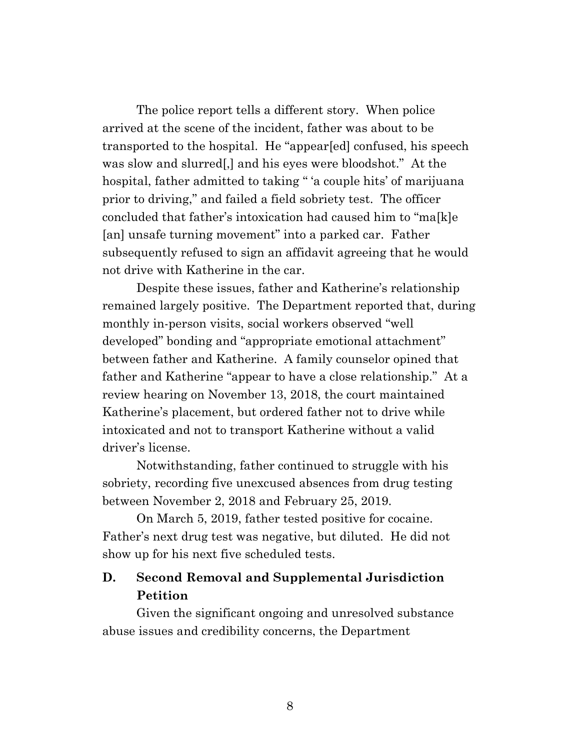The police report tells a different story. When police arrived at the scene of the incident, father was about to be transported to the hospital. He "appear[ed] confused, his speech was slow and slurred[,] and his eyes were bloodshot." At the hospital, father admitted to taking "*'a* couple hits' of marijuana prior to driving," and failed a field sobriety test. The officer concluded that father's intoxication had caused him to "ma[k]e [an] unsafe turning movement" into a parked car. Father subsequently refused to sign an affidavit agreeing that he would not drive with Katherine in the car.

Despite these issues, father and Katherine's relationship remained largely positive. The Department reported that, during monthly in-person visits, social workers observed "well developed" bonding and "appropriate emotional attachment" between father and Katherine. A family counselor opined that father and Katherine "appear to have a close relationship." At a review hearing on November 13, 2018, the court maintained Katherine's placement, but ordered father not to drive while intoxicated and not to transport Katherine without a valid driver's license.

Notwithstanding, father continued to struggle with his sobriety, recording five unexcused absences from drug testing between November 2, 2018 and February 25, 2019.

On March 5, 2019, father tested positive for cocaine. Father's next drug test was negative, but diluted. He did not show up for his next five scheduled tests.

# **D. Second Removal and Supplemental Jurisdiction Petition**

Given the significant ongoing and unresolved substance abuse issues and credibility concerns, the Department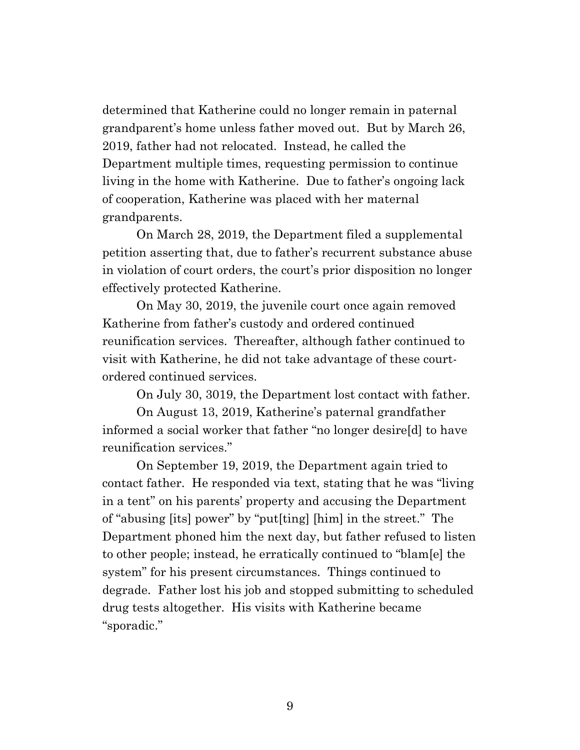determined that Katherine could no longer remain in paternal grandparent's home unless father moved out. But by March 26, 2019, father had not relocated. Instead, he called the Department multiple times, requesting permission to continue living in the home with Katherine. Due to father's ongoing lack of cooperation, Katherine was placed with her maternal grandparents.

On March 28, 2019, the Department filed a supplemental petition asserting that, due to father's recurrent substance abuse in violation of court orders, the court's prior disposition no longer effectively protected Katherine.

On May 30, 2019, the juvenile court once again removed Katherine from father's custody and ordered continued reunification services. Thereafter, although father continued to visit with Katherine, he did not take advantage of these courtordered continued services.

On July 30, 3019, the Department lost contact with father.

On August 13, 2019, Katherine's paternal grandfather informed a social worker that father "no longer desire[d] to have reunification services."

On September 19, 2019, the Department again tried to contact father. He responded via text, stating that he was "living in a tent" on his parents' property and accusing the Department of "abusing [its] power" by "put[ting] [him] in the street." The Department phoned him the next day, but father refused to listen to other people; instead, he erratically continued to "blam[e] the system" for his present circumstances. Things continued to degrade. Father lost his job and stopped submitting to scheduled drug tests altogether. His visits with Katherine became "sporadic."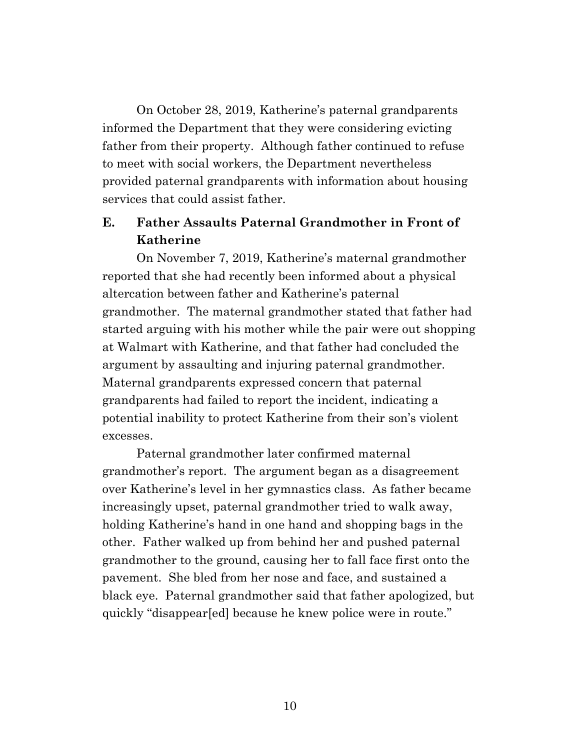On October 28, 2019, Katherine's paternal grandparents informed the Department that they were considering evicting father from their property. Although father continued to refuse to meet with social workers, the Department nevertheless provided paternal grandparents with information about housing services that could assist father.

# **E. Father Assaults Paternal Grandmother in Front of Katherine**

On November 7, 2019, Katherine's maternal grandmother reported that she had recently been informed about a physical altercation between father and Katherine's paternal grandmother. The maternal grandmother stated that father had started arguing with his mother while the pair were out shopping at Walmart with Katherine, and that father had concluded the argument by assaulting and injuring paternal grandmother. Maternal grandparents expressed concern that paternal grandparents had failed to report the incident, indicating a potential inability to protect Katherine from their son's violent excesses.

Paternal grandmother later confirmed maternal grandmother's report. The argument began as a disagreement over Katherine's level in her gymnastics class. As father became increasingly upset, paternal grandmother tried to walk away, holding Katherine's hand in one hand and shopping bags in the other. Father walked up from behind her and pushed paternal grandmother to the ground, causing her to fall face first onto the pavement. She bled from her nose and face, and sustained a black eye. Paternal grandmother said that father apologized, but quickly "disappear[ed] because he knew police were in route."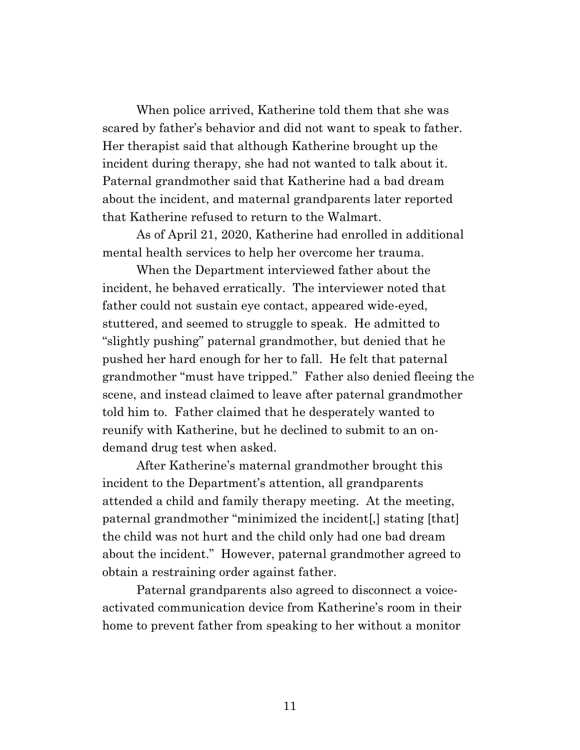When police arrived, Katherine told them that she was scared by father's behavior and did not want to speak to father. Her therapist said that although Katherine brought up the incident during therapy, she had not wanted to talk about it. Paternal grandmother said that Katherine had a bad dream about the incident, and maternal grandparents later reported that Katherine refused to return to the Walmart.

As of April 21, 2020, Katherine had enrolled in additional mental health services to help her overcome her trauma.

When the Department interviewed father about the incident, he behaved erratically. The interviewer noted that father could not sustain eye contact, appeared wide-eyed, stuttered, and seemed to struggle to speak. He admitted to "slightly pushing" paternal grandmother, but denied that he pushed her hard enough for her to fall. He felt that paternal grandmother "must have tripped." Father also denied fleeing the scene, and instead claimed to leave after paternal grandmother told him to. Father claimed that he desperately wanted to reunify with Katherine, but he declined to submit to an ondemand drug test when asked.

After Katherine's maternal grandmother brought this incident to the Department's attention, all grandparents attended a child and family therapy meeting. At the meeting, paternal grandmother "minimized the incident[,] stating [that] the child was not hurt and the child only had one bad dream about the incident." However, paternal grandmother agreed to obtain a restraining order against father.

Paternal grandparents also agreed to disconnect a voiceactivated communication device from Katherine's room in their home to prevent father from speaking to her without a monitor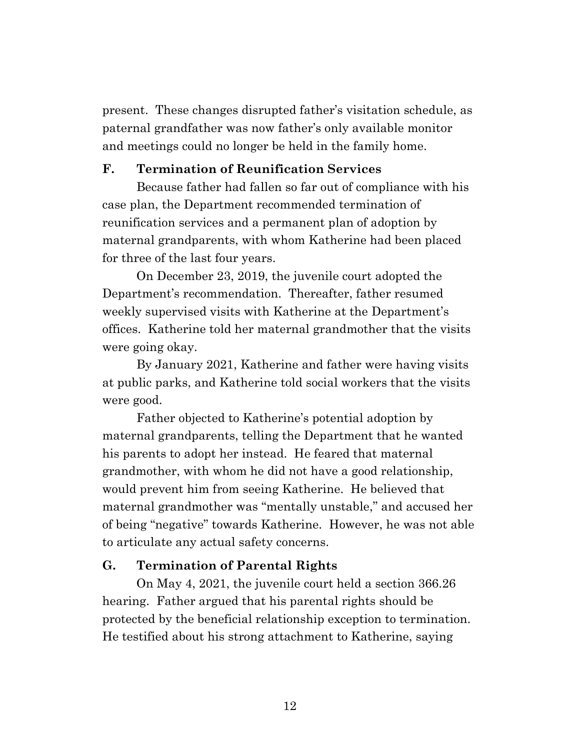present. These changes disrupted father's visitation schedule, as paternal grandfather was now father's only available monitor and meetings could no longer be held in the family home.

#### **F. Termination of Reunification Services**

Because father had fallen so far out of compliance with his case plan, the Department recommended termination of reunification services and a permanent plan of adoption by maternal grandparents, with whom Katherine had been placed for three of the last four years.

On December 23, 2019, the juvenile court adopted the Department's recommendation. Thereafter, father resumed weekly supervised visits with Katherine at the Department's offices. Katherine told her maternal grandmother that the visits were going okay.

By January 2021, Katherine and father were having visits at public parks, and Katherine told social workers that the visits were good.

Father objected to Katherine's potential adoption by maternal grandparents, telling the Department that he wanted his parents to adopt her instead. He feared that maternal grandmother, with whom he did not have a good relationship, would prevent him from seeing Katherine. He believed that maternal grandmother was "mentally unstable," and accused her of being "negative" towards Katherine. However, he was not able to articulate any actual safety concerns.

#### **G. Termination of Parental Rights**

On May 4, 2021, the juvenile court held a section 366.26 hearing. Father argued that his parental rights should be protected by the beneficial relationship exception to termination. He testified about his strong attachment to Katherine, saying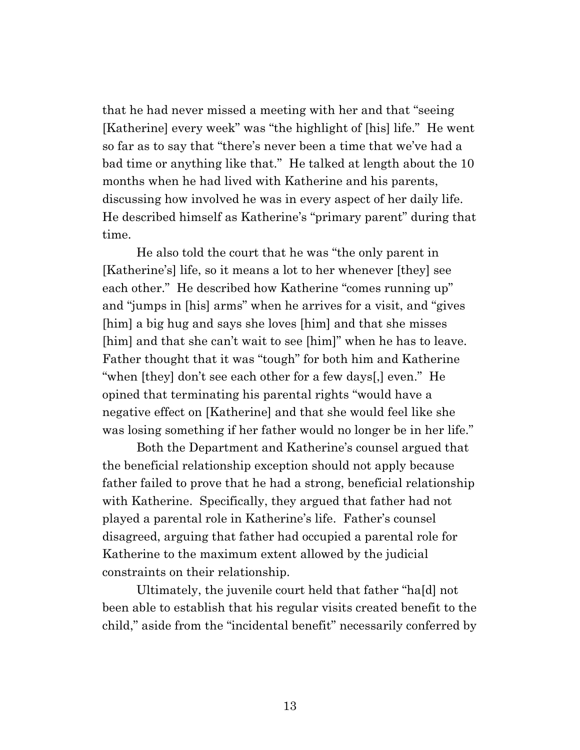that he had never missed a meeting with her and that "seeing [Katherine] every week" was "the highlight of [his] life." He went so far as to say that "there's never been a time that we've had a bad time or anything like that." He talked at length about the 10 months when he had lived with Katherine and his parents, discussing how involved he was in every aspect of her daily life. He described himself as Katherine's "primary parent" during that time.

He also told the court that he was "the only parent in [Katherine's] life, so it means a lot to her whenever [they] see each other." He described how Katherine "comes running up" and "jumps in [his] arms" when he arrives for a visit, and "gives [him] a big hug and says she loves [him] and that she misses [him] and that she can't wait to see [him]" when he has to leave. Father thought that it was "tough" for both him and Katherine "when [they] don't see each other for a few days[,] even." He opined that terminating his parental rights "would have a negative effect on [Katherine] and that she would feel like she was losing something if her father would no longer be in her life."

Both the Department and Katherine's counsel argued that the beneficial relationship exception should not apply because father failed to prove that he had a strong, beneficial relationship with Katherine. Specifically, they argued that father had not played a parental role in Katherine's life. Father's counsel disagreed, arguing that father had occupied a parental role for Katherine to the maximum extent allowed by the judicial constraints on their relationship.

Ultimately, the juvenile court held that father "ha[d] not been able to establish that his regular visits created benefit to the child," aside from the "incidental benefit" necessarily conferred by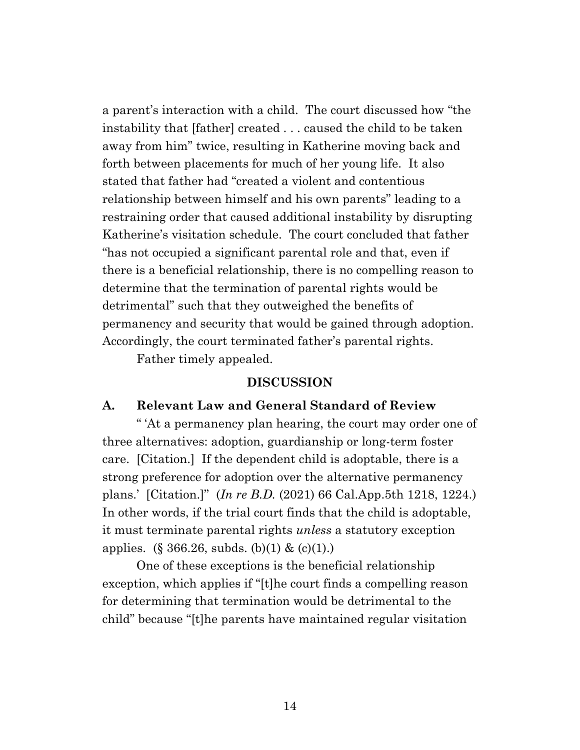a parent's interaction with a child. The court discussed how "the instability that [father] created . . . caused the child to be taken away from him" twice, resulting in Katherine moving back and forth between placements for much of her young life. It also stated that father had "created a violent and contentious relationship between himself and his own parents" leading to a restraining order that caused additional instability by disrupting Katherine's visitation schedule. The court concluded that father "has not occupied a significant parental role and that, even if there is a beneficial relationship, there is no compelling reason to determine that the termination of parental rights would be detrimental" such that they outweighed the benefits of permanency and security that would be gained through adoption. Accordingly, the court terminated father's parental rights.

Father timely appealed.

#### **DISCUSSION**

#### **A. Relevant Law and General Standard of Review**

" 'At a permanency plan hearing, the court may order one of three alternatives: adoption, guardianship or long-term foster care. [Citation.] If the dependent child is adoptable, there is a strong preference for adoption over the alternative permanency plans.' [Citation.]" (*In re B.D.* (2021) 66 Cal.App.5th 1218, 1224.) In other words, if the trial court finds that the child is adoptable, it must terminate parental rights *unless* a statutory exception applies.  $(\S 366.26, \text{subds. (b)}(1) \& (c)(1))$ .

One of these exceptions is the beneficial relationship exception, which applies if "[t]he court finds a compelling reason for determining that termination would be detrimental to the child" because "[t]he parents have maintained regular visitation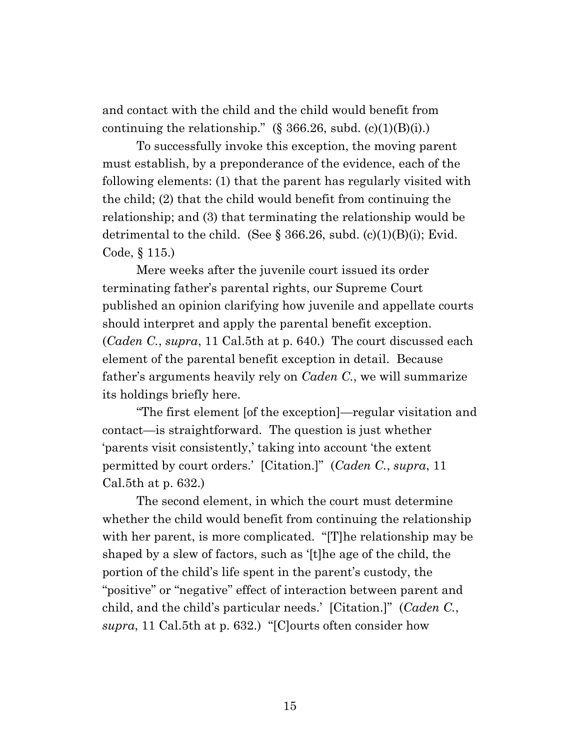and contact with the child and the child would benefit from continuing the relationship."  $(\S 366.26, \text{subd.} (c)(1)(B)(i))$ .

To successfully invoke this exception, the moving parent must establish, by a preponderance of the evidence, each of the following elements: (1) that the parent has regularly visited with the child; (2) that the child would benefit from continuing the relationship; and (3) that terminating the relationship would be detrimental to the child. (See  $\S 366.26$ , subd. (c)(1)(B)(i); Evid. Code, § 115.)

Mere weeks after the juvenile court issued its order terminating father's parental rights, our Supreme Court published an opinion clarifying how juvenile and appellate courts should interpret and apply the parental benefit exception. (*Caden C.*, *supra*, 11 Cal.5th at p. 640.) The court discussed each element of the parental benefit exception in detail. Because father's arguments heavily rely on *Caden C.*, we will summarize its holdings briefly here.

"The first element [of the exception]—regular visitation and contact—is straightforward. The question is just whether 'parents visit consistently,' taking into account 'the extent permitted by court orders.' [Citation.]" (*Caden C.*, *supra*, 11 Cal.5th at p. 632.)

The second element, in which the court must determine whether the child would benefit from continuing the relationship with her parent, is more complicated. "[T]he relationship may be shaped by a slew of factors, such as '[t]he age of the child, the portion of the child's life spent in the parent's custody, the "positive" or "negative" effect of interaction between parent and child, and the child's particular needs.' [Citation.]" (*Caden C.*, *supra*, 11 Cal.5th at p. 632.) "[C]ourts often consider how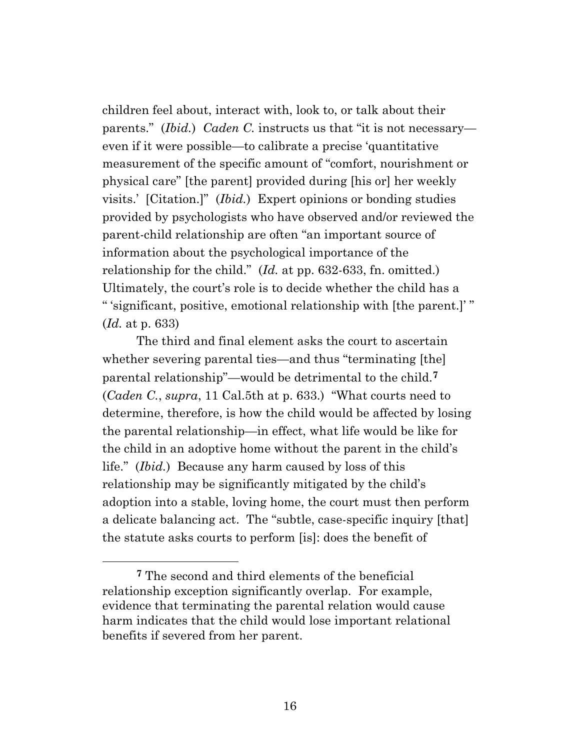children feel about, interact with, look to, or talk about their parents." (*Ibid.*) *Caden C.* instructs us that "it is not necessary even if it were possible—to calibrate a precise 'quantitative measurement of the specific amount of "comfort, nourishment or physical care" [the parent] provided during [his or] her weekly visits.' [Citation.]" (*Ibid.*) Expert opinions or bonding studies provided by psychologists who have observed and/or reviewed the parent-child relationship are often "an important source of information about the psychological importance of the relationship for the child." (*Id.* at pp. 632-633, fn. omitted.) Ultimately, the court's role is to decide whether the child has a " 'significant, positive, emotional relationship with [the parent.]' " (*Id.* at p. 633)

The third and final element asks the court to ascertain whether severing parental ties—and thus "terminating [the] parental relationship"—would be detrimental to the child.**<sup>7</sup>** (*Caden C.*, *supra*, 11 Cal.5th at p. 633.) "What courts need to determine, therefore, is how the child would be affected by losing the parental relationship—in effect, what life would be like for the child in an adoptive home without the parent in the child's life." (*Ibid.*) Because any harm caused by loss of this relationship may be significantly mitigated by the child's adoption into a stable, loving home, the court must then perform a delicate balancing act. The "subtle, case-specific inquiry [that] the statute asks courts to perform [is]: does the benefit of

**<sup>7</sup>** The second and third elements of the beneficial relationship exception significantly overlap. For example, evidence that terminating the parental relation would cause harm indicates that the child would lose important relational benefits if severed from her parent.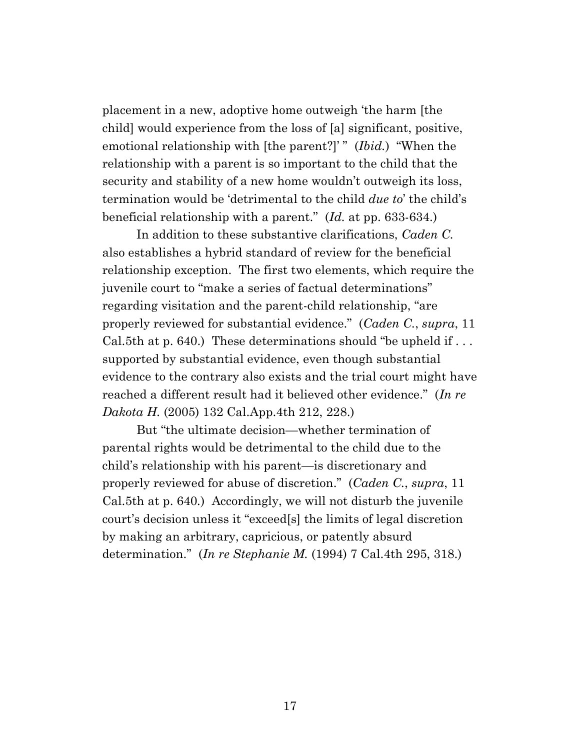placement in a new, adoptive home outweigh 'the harm [the child] would experience from the loss of [a] significant, positive, emotional relationship with [the parent?]' " (*Ibid.*) "When the relationship with a parent is so important to the child that the security and stability of a new home wouldn't outweigh its loss, termination would be 'detrimental to the child *due to*' the child's beneficial relationship with a parent." (*Id.* at pp. 633-634.)

In addition to these substantive clarifications, *Caden C.* also establishes a hybrid standard of review for the beneficial relationship exception. The first two elements, which require the juvenile court to "make a series of factual determinations" regarding visitation and the parent-child relationship, "are properly reviewed for substantial evidence." (*Caden C.*, *supra*, 11 Cal.5th at p. 640.) These determinations should "be upheld if . . . supported by substantial evidence, even though substantial evidence to the contrary also exists and the trial court might have reached a different result had it believed other evidence." (*In re Dakota H.* (2005) 132 Cal.App.4th 212, 228.)

But "the ultimate decision—whether termination of parental rights would be detrimental to the child due to the child's relationship with his parent—is discretionary and properly reviewed for abuse of discretion." (*Caden C.*, *supra*, 11 Cal.5th at p. 640*.*) Accordingly, we will not disturb the juvenile court's decision unless it "exceed[s] the limits of legal discretion by making an arbitrary, capricious, or patently absurd determination." (*In re Stephanie M.* (1994) 7 Cal.4th 295, 318.)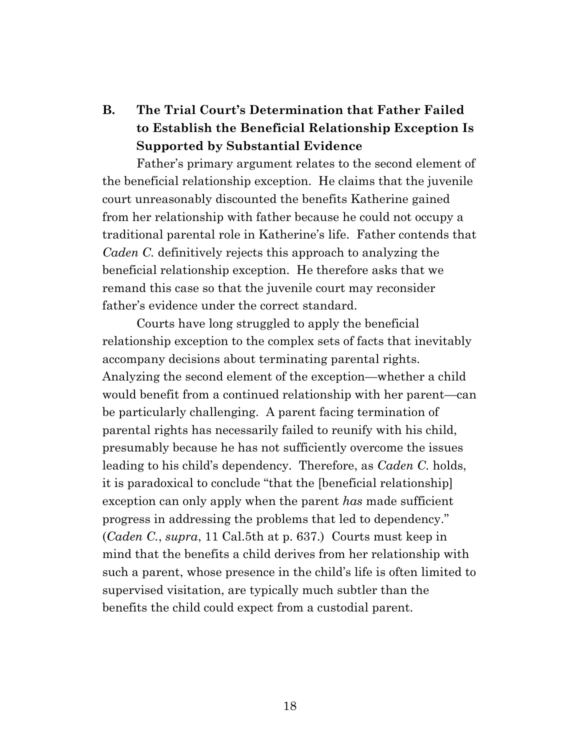# **B. The Trial Court's Determination that Father Failed to Establish the Beneficial Relationship Exception Is Supported by Substantial Evidence**

Father's primary argument relates to the second element of the beneficial relationship exception. He claims that the juvenile court unreasonably discounted the benefits Katherine gained from her relationship with father because he could not occupy a traditional parental role in Katherine's life. Father contends that *Caden C.* definitively rejects this approach to analyzing the beneficial relationship exception. He therefore asks that we remand this case so that the juvenile court may reconsider father's evidence under the correct standard.

Courts have long struggled to apply the beneficial relationship exception to the complex sets of facts that inevitably accompany decisions about terminating parental rights. Analyzing the second element of the exception—whether a child would benefit from a continued relationship with her parent—can be particularly challenging. A parent facing termination of parental rights has necessarily failed to reunify with his child, presumably because he has not sufficiently overcome the issues leading to his child's dependency. Therefore, as *Caden C.* holds, it is paradoxical to conclude "that the [beneficial relationship] exception can only apply when the parent *has* made sufficient progress in addressing the problems that led to dependency." (*Caden C.*, *supra*, 11 Cal.5th at p. 637.)Courts must keep in mind that the benefits a child derives from her relationship with such a parent, whose presence in the child's life is often limited to supervised visitation, are typically much subtler than the benefits the child could expect from a custodial parent.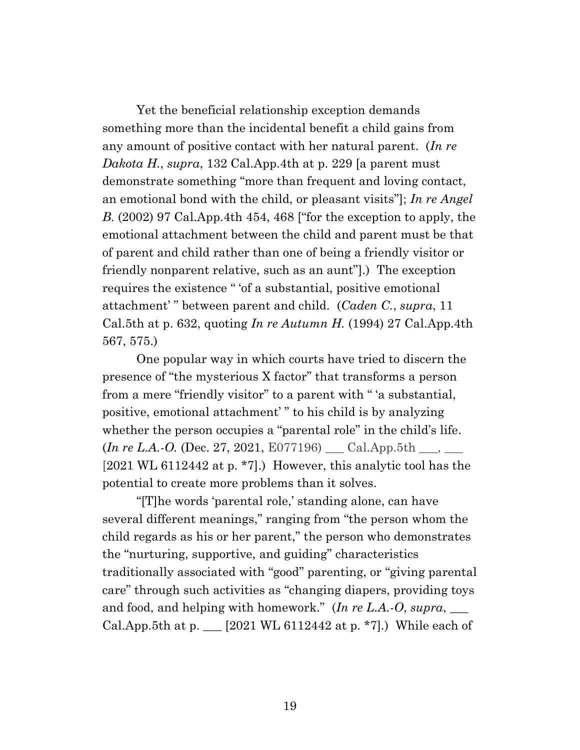Yet the beneficial relationship exception demands something more than the incidental benefit a child gains from any amount of positive contact with her natural parent. (*In re Dakota H.*, *supra*, 132 Cal.App.4th at p. 229 [a parent must demonstrate something "more than frequent and loving contact, an emotional bond with the child, or pleasant visits"]; *In re Angel B.* (2002) 97 Cal.App.4th 454, 468 ["for the exception to apply, the emotional attachment between the child and parent must be that of parent and child rather than one of being a friendly visitor or friendly nonparent relative, such as an aunt"].) The exception requires the existence " 'of a substantial, positive emotional attachment' " between parent and child. (*Caden C.*, *supra*, 11 Cal.5th at p. 632, quoting *In re Autumn H.* (1994) 27 Cal.App.4th 567, 575.)

One popular way in which courts have tried to discern the presence of "the mysterious X factor" that transforms a person from a mere "friendly visitor" to a parent with " 'a substantial, positive, emotional attachment' " to his child is by analyzing whether the person occupies a "parental role" in the child's life. (*In re L.A.-O.* (Dec. 27, 2021, E077196) \_\_\_ Cal.App.5th \_\_\_, \_\_\_ [2021 WL 6112442 at p. \*7].) However, this analytic tool has the potential to create more problems than it solves.

"[T]he words 'parental role,' standing alone, can have several different meanings," ranging from "the person whom the child regards as his or her parent," the person who demonstrates the "nurturing, supportive, and guiding" characteristics traditionally associated with "good" parenting, or "giving parental care" through such activities as "changing diapers, providing toys and food, and helping with homework." (*In re L.A.-O, supra*,  $\frac{1}{\sqrt{2\pi}}$ Cal.App.5th at p. \_\_\_ [2021 WL 6112442 at p. \*7]*.*) While each of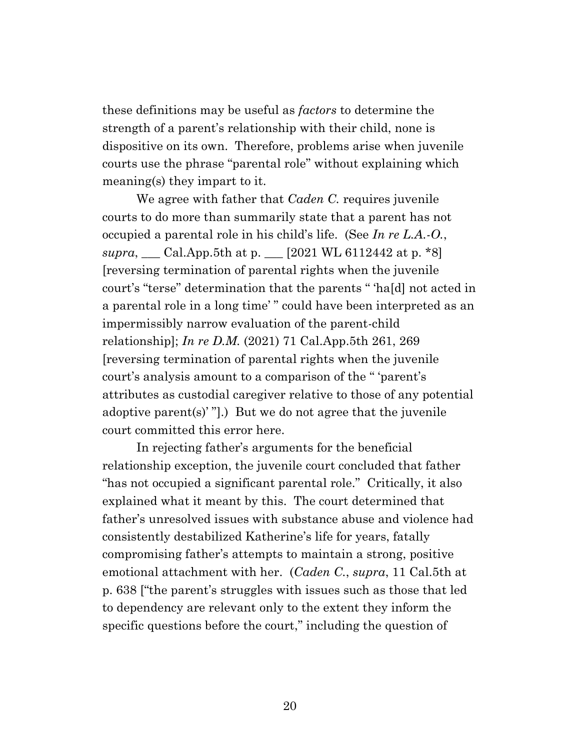these definitions may be useful as *factors* to determine the strength of a parent's relationship with their child, none is dispositive on its own. Therefore, problems arise when juvenile courts use the phrase "parental role" without explaining which meaning(s) they impart to it.

We agree with father that *Caden C.* requires juvenile courts to do more than summarily state that a parent has not occupied a parental role in his child's life. (See *In re L.A.-O.*, *supra*, \_\_\_ Cal.App.5th at p. \_\_\_ [2021 WL 6112442 at p. \*8] [reversing termination of parental rights when the juvenile court's "terse" determination that the parents " 'ha[d] not acted in a parental role in a long time' " could have been interpreted as an impermissibly narrow evaluation of the parent-child relationship]; *In re D.M.* (2021) 71 Cal.App.5th 261, 269 [reversing termination of parental rights when the juvenile court's analysis amount to a comparison of the " 'parent's attributes as custodial caregiver relative to those of any potential adoptive parent(s)' "].) But we do not agree that the juvenile court committed this error here.

In rejecting father's arguments for the beneficial relationship exception, the juvenile court concluded that father "has not occupied a significant parental role." Critically, it also explained what it meant by this. The court determined that father's unresolved issues with substance abuse and violence had consistently destabilized Katherine's life for years, fatally compromising father's attempts to maintain a strong, positive emotional attachment with her. (*Caden C.*, *supra*, 11 Cal.5th at p. 638 ["the parent's struggles with issues such as those that led to dependency are relevant only to the extent they inform the specific questions before the court," including the question of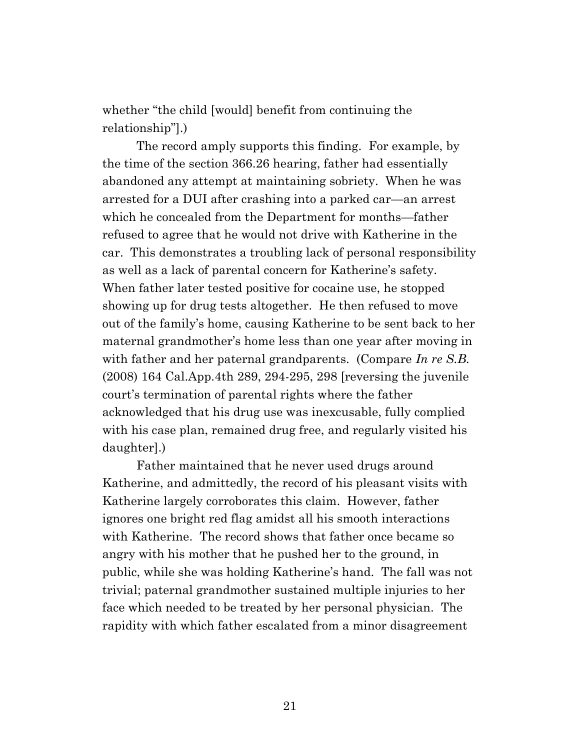whether "the child [would] benefit from continuing the relationship"].)

The record amply supports this finding. For example, by the time of the section 366.26 hearing, father had essentially abandoned any attempt at maintaining sobriety. When he was arrested for a DUI after crashing into a parked car—an arrest which he concealed from the Department for months—father refused to agree that he would not drive with Katherine in the car. This demonstrates a troubling lack of personal responsibility as well as a lack of parental concern for Katherine's safety. When father later tested positive for cocaine use, he stopped showing up for drug tests altogether. He then refused to move out of the family's home, causing Katherine to be sent back to her maternal grandmother's home less than one year after moving in with father and her paternal grandparents. (Compare *In re S.B.*  (2008) 164 Cal.App.4th 289, 294-295, 298 [reversing the juvenile court's termination of parental rights where the father acknowledged that his drug use was inexcusable, fully complied with his case plan, remained drug free, and regularly visited his daughter].)

Father maintained that he never used drugs around Katherine, and admittedly, the record of his pleasant visits with Katherine largely corroborates this claim. However, father ignores one bright red flag amidst all his smooth interactions with Katherine. The record shows that father once became so angry with his mother that he pushed her to the ground, in public, while she was holding Katherine's hand. The fall was not trivial; paternal grandmother sustained multiple injuries to her face which needed to be treated by her personal physician. The rapidity with which father escalated from a minor disagreement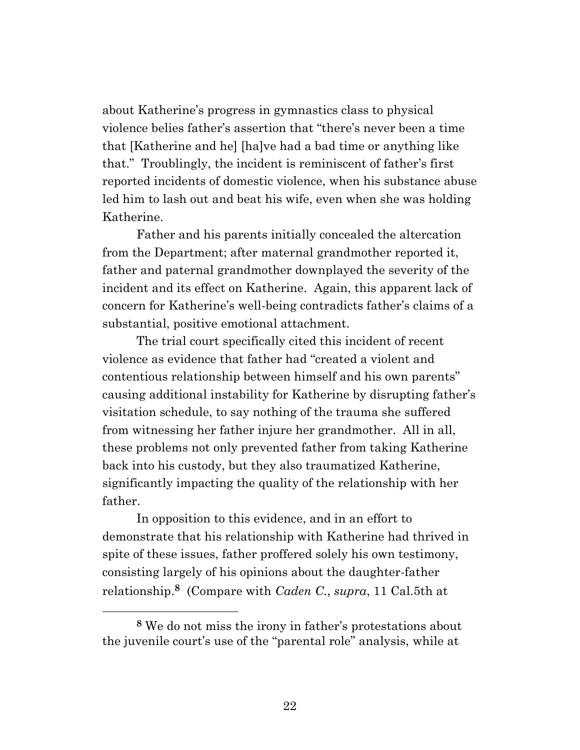about Katherine's progress in gymnastics class to physical violence belies father's assertion that "there's never been a time that [Katherine and he] [ha]ve had a bad time or anything like that." Troublingly, the incident is reminiscent of father's first reported incidents of domestic violence, when his substance abuse led him to lash out and beat his wife, even when she was holding Katherine.

Father and his parents initially concealed the altercation from the Department; after maternal grandmother reported it, father and paternal grandmother downplayed the severity of the incident and its effect on Katherine. Again, this apparent lack of concern for Katherine's well-being contradicts father's claims of a substantial, positive emotional attachment.

The trial court specifically cited this incident of recent violence as evidence that father had "created a violent and contentious relationship between himself and his own parents" causing additional instability for Katherine by disrupting father's visitation schedule, to say nothing of the trauma she suffered from witnessing her father injure her grandmother. All in all, these problems not only prevented father from taking Katherine back into his custody, but they also traumatized Katherine, significantly impacting the quality of the relationship with her father.

In opposition to this evidence, and in an effort to demonstrate that his relationship with Katherine had thrived in spite of these issues, father proffered solely his own testimony, consisting largely of his opinions about the daughter-father relationship.**8** (Compare with *Caden C.*, *supra*, 11 Cal.5th at

**<sup>8</sup>** We do not miss the irony in father's protestations about the juvenile court's use of the "parental role" analysis, while at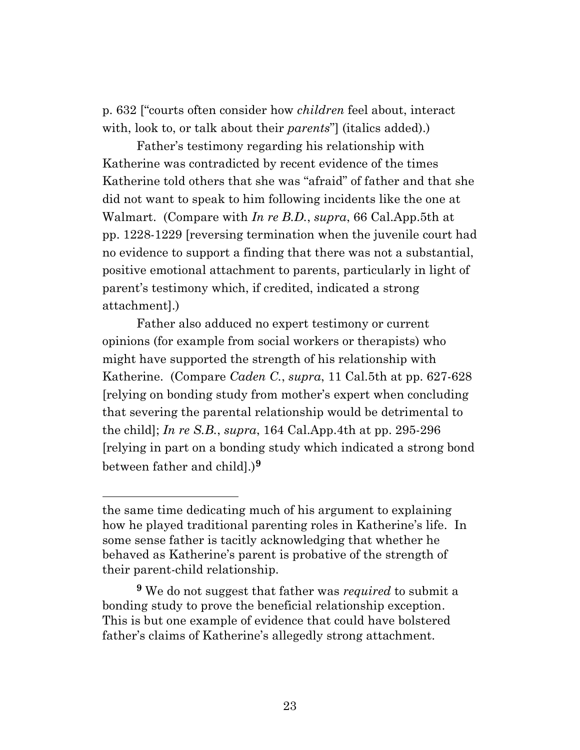p. 632 ["courts often consider how *children* feel about, interact with, look to, or talk about their *parents*"] (italics added).)

Father's testimony regarding his relationship with Katherine was contradicted by recent evidence of the times Katherine told others that she was "afraid" of father and that she did not want to speak to him following incidents like the one at Walmart. (Compare with *In re B.D.*, *supra*, 66 Cal.App.5th at pp. 1228-1229 [reversing termination when the juvenile court had no evidence to support a finding that there was not a substantial, positive emotional attachment to parents, particularly in light of parent's testimony which, if credited, indicated a strong attachment].)

Father also adduced no expert testimony or current opinions (for example from social workers or therapists) who might have supported the strength of his relationship with Katherine. (Compare *Caden C.*, *supra*, 11 Cal.5th at pp. 627-628 [relying on bonding study from mother's expert when concluding that severing the parental relationship would be detrimental to the child]; *In re S.B.*, *supra*, 164 Cal.App.4th at pp. 295-296 [relying in part on a bonding study which indicated a strong bond between father and child].)**<sup>9</sup>**

the same time dedicating much of his argument to explaining how he played traditional parenting roles in Katherine's life. In some sense father is tacitly acknowledging that whether he behaved as Katherine's parent is probative of the strength of their parent-child relationship.

**<sup>9</sup>** We do not suggest that father was *required* to submit a bonding study to prove the beneficial relationship exception. This is but one example of evidence that could have bolstered father's claims of Katherine's allegedly strong attachment.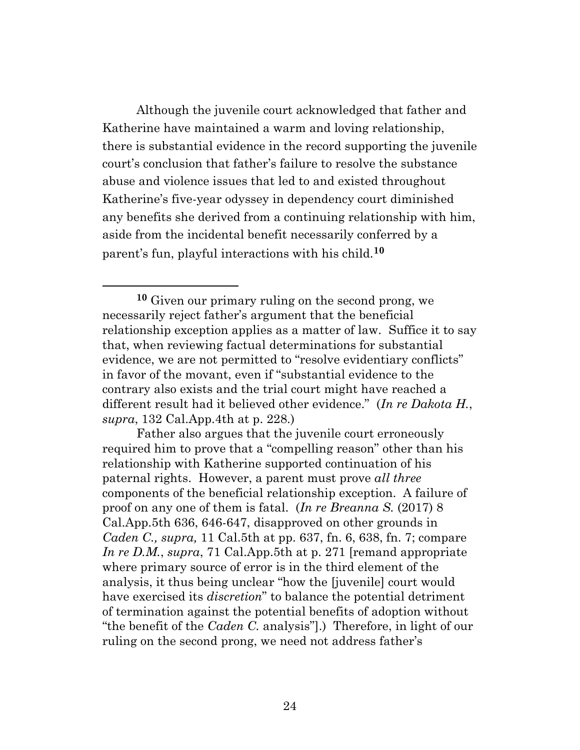Although the juvenile court acknowledged that father and Katherine have maintained a warm and loving relationship, there is substantial evidence in the record supporting the juvenile court's conclusion that father's failure to resolve the substance abuse and violence issues that led to and existed throughout Katherine's five-year odyssey in dependency court diminished any benefits she derived from a continuing relationship with him, aside from the incidental benefit necessarily conferred by a parent's fun, playful interactions with his child.**<sup>10</sup>**

**<sup>10</sup>** Given our primary ruling on the second prong, we necessarily reject father's argument that the beneficial relationship exception applies as a matter of law. Suffice it to say that, when reviewing factual determinations for substantial evidence, we are not permitted to "resolve evidentiary conflicts" in favor of the movant, even if "substantial evidence to the contrary also exists and the trial court might have reached a different result had it believed other evidence." (*In re Dakota H.*, *supra*, 132 Cal.App.4th at p. 228.)

Father also argues that the juvenile court erroneously required him to prove that a "compelling reason" other than his relationship with Katherine supported continuation of his paternal rights. However, a parent must prove *all three* components of the beneficial relationship exception. A failure of proof on any one of them is fatal. (*In re Breanna S.* (2017) 8 Cal.App.5th 636, 646-647, disapproved on other grounds in *Caden C., supra,* 11 Cal.5th at pp. 637, fn. 6, 638, fn. 7; compare *In re D.M.*, *supra*, 71 Cal.App.5th at p. 271 [remand appropriate where primary source of error is in the third element of the analysis, it thus being unclear "how the [juvenile] court would have exercised its *discretion*" to balance the potential detriment of termination against the potential benefits of adoption without "the benefit of the *Caden C.* analysis"].) Therefore, in light of our ruling on the second prong, we need not address father's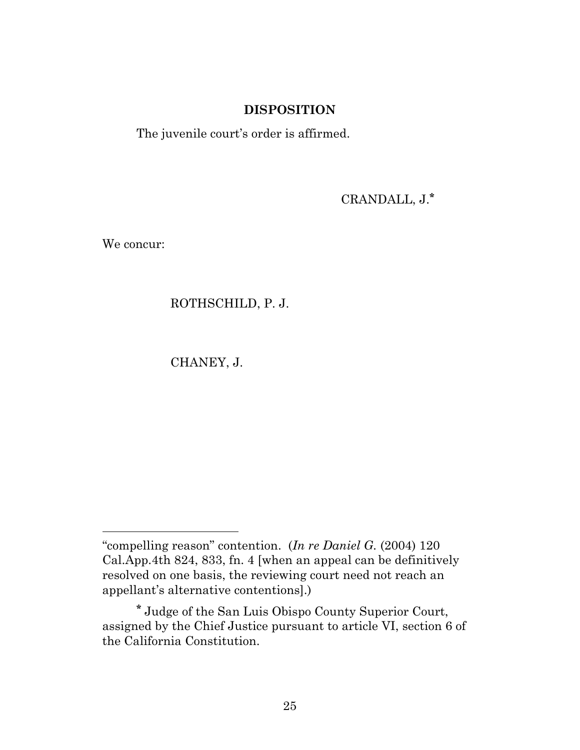#### **DISPOSITION**

The juvenile court's order is affirmed.

CRANDALL, J.**\***

We concur:

#### ROTHSCHILD, P. J.

CHANEY, J.

<sup>&</sup>quot;compelling reason" contention. (*In re Daniel G.* (2004) 120 Cal.App.4th 824, 833, fn. 4 [when an appeal can be definitively resolved on one basis, the reviewing court need not reach an appellant's alternative contentions].)

**<sup>\*</sup>** Judge of the San Luis Obispo County Superior Court, assigned by the Chief Justice pursuant to article VI, section 6 of the California Constitution.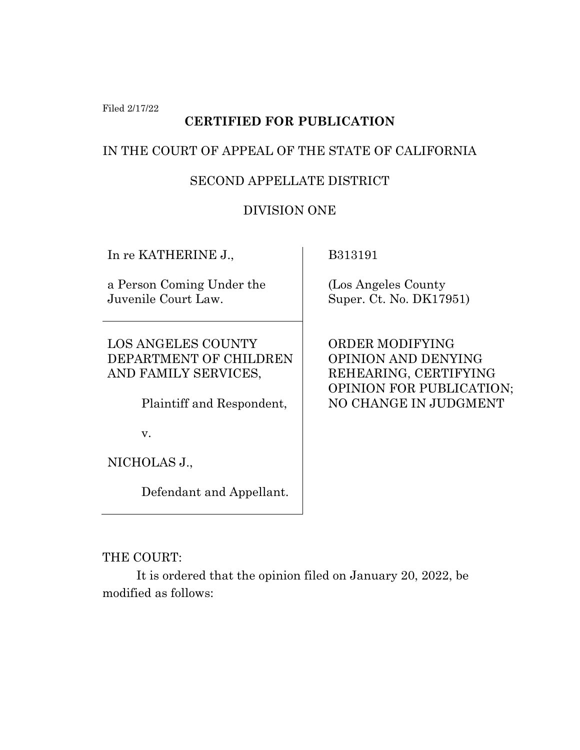Filed 2/17/22

# **CERTIFIED FOR PUBLICATION**

#### IN THE COURT OF APPEAL OF THE STATE OF CALIFORNIA

#### SECOND APPELLATE DISTRICT

## DIVISION ONE

In re KATHERINE J.,

a Person Coming Under the Juvenile Court Law.

LOS ANGELES COUNTY DEPARTMENT OF CHILDREN AND FAMILY SERVICES,

Plaintiff and Respondent,

v.

NICHOLAS J.,

Defendant and Appellant.

B313191

 (Los Angeles County Super. Ct. No. DK17951)

 ORDER MODIFYING OPINION AND DENYING REHEARING, CERTIFYING OPINION FOR PUBLICATION; NO CHANGE IN JUDGMENT

THE COURT:

It is ordered that the opinion filed on January 20, 2022, be modified as follows: